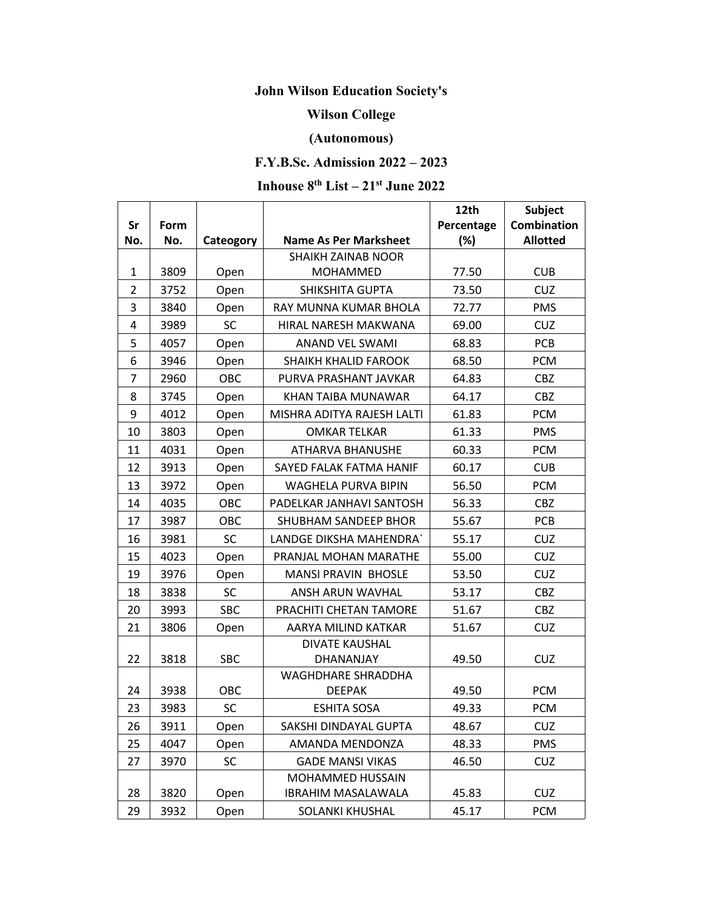# **John Wilson Education Society's**

#### **Wilson College**

## **(Autonomous)**

## **F.Y.B.Sc. Admission 2022 – 2023**

#### **Inhouse 8 th List – 21 st June 2022**

|                |                                 |                                             |                            | 12th<br><b>Subject</b> |                    |
|----------------|---------------------------------|---------------------------------------------|----------------------------|------------------------|--------------------|
| Sr             | Form                            | <b>Name As Per Marksheet</b><br>Cateogory   |                            | Percentage             | <b>Combination</b> |
| No.            | No.                             |                                             |                            | (%)                    | <b>Allotted</b>    |
|                |                                 | <b>SHAIKH ZAINAB NOOR</b>                   |                            |                        |                    |
| $\mathbf{1}$   | 3809                            | Open<br><b>MOHAMMED</b>                     |                            | 77.50                  | <b>CUB</b>         |
| $\overline{2}$ | 3752<br>SHIKSHITA GUPTA<br>Open |                                             | 73.50                      | <b>CUZ</b>             |                    |
| 3              | 3840                            | Open<br>RAY MUNNA KUMAR BHOLA               |                            | 72.77                  | <b>PMS</b>         |
| $\overline{4}$ | 3989                            | <b>SC</b>                                   | HIRAL NARESH MAKWANA       | 69.00                  | <b>CUZ</b>         |
| 5              | 4057                            | Open                                        | ANAND VEL SWAMI            | 68.83                  | PCB                |
| 6              | 3946                            | Open                                        | SHAIKH KHALID FAROOK       |                        | <b>PCM</b>         |
| $\overline{7}$ | 2960                            | OBC<br>PURVA PRASHANT JAVKAR                |                            | 64.83                  | <b>CBZ</b>         |
| 8              | 3745                            | KHAN TAIBA MUNAWAR<br>64.17<br>Open         |                            | <b>CBZ</b>             |                    |
| 9              | 4012                            | MISHRA ADITYA RAJESH LALTI<br>61.83<br>Open |                            | <b>PCM</b>             |                    |
| 10             | 3803                            | Open                                        | <b>OMKAR TELKAR</b>        | 61.33                  | <b>PMS</b>         |
| 11             | 4031                            | Open                                        | <b>ATHARVA BHANUSHE</b>    | 60.33                  | <b>PCM</b>         |
| 12             | 3913                            | Open                                        | SAYED FALAK FATMA HANIF    | 60.17                  | <b>CUB</b>         |
| 13             | 3972                            | Open                                        | WAGHELA PURVA BIPIN        | 56.50                  | <b>PCM</b>         |
| 14             | 4035                            | OBC                                         | PADELKAR JANHAVI SANTOSH   | 56.33                  | <b>CBZ</b>         |
| 17             | 3987                            | OBC                                         | SHUBHAM SANDEEP BHOR       | 55.67                  | <b>PCB</b>         |
| 16             | 3981                            | SC                                          | LANDGE DIKSHA MAHENDRA`    | 55.17                  | <b>CUZ</b>         |
| 15             | 4023                            | Open                                        | PRANJAL MOHAN MARATHE      | 55.00                  | <b>CUZ</b>         |
| 19             | 3976                            | Open                                        | <b>MANSI PRAVIN BHOSLE</b> | 53.50                  | <b>CUZ</b>         |
| 18             | 3838                            | <b>SC</b>                                   | ANSH ARUN WAVHAL           |                        | <b>CBZ</b>         |
| 20             | 3993                            | <b>SBC</b>                                  | PRACHITI CHETAN TAMORE     | 51.67                  | <b>CBZ</b>         |
| 21             | 3806                            | AARYA MILIND KATKAR<br>Open                 |                            | 51.67                  | <b>CUZ</b>         |
|                |                                 | <b>DIVATE KAUSHAL</b>                       |                            |                        |                    |
| 22             | 3818                            | SBC                                         | DHANANJAY                  | 49.50                  | <b>CUZ</b>         |
|                |                                 |                                             | WAGHDHARE SHRADDHA         |                        |                    |
| 24             | 3938                            | <b>OBC</b>                                  | <b>DEEPAK</b>              | 49.50                  | <b>PCM</b>         |
| 23             | 3983                            | <b>SC</b>                                   | <b>ESHITA SOSA</b>         | 49.33                  | <b>PCM</b>         |
| 26             | 3911                            | Open                                        | SAKSHI DINDAYAL GUPTA      | 48.67                  | <b>CUZ</b>         |
| 25             | 4047                            | Open                                        | AMANDA MENDONZA            | 48.33                  | <b>PMS</b>         |
| 27             | 3970                            | <b>SC</b>                                   | <b>GADE MANSI VIKAS</b>    | 46.50                  | <b>CUZ</b>         |
|                |                                 |                                             | MOHAMMED HUSSAIN           |                        |                    |
| 28             | 3820                            | Open                                        | <b>IBRAHIM MASALAWALA</b>  | 45.83                  | <b>CUZ</b>         |
| 29             | 3932                            | Open                                        | SOLANKI KHUSHAL            | 45.17                  | <b>PCM</b>         |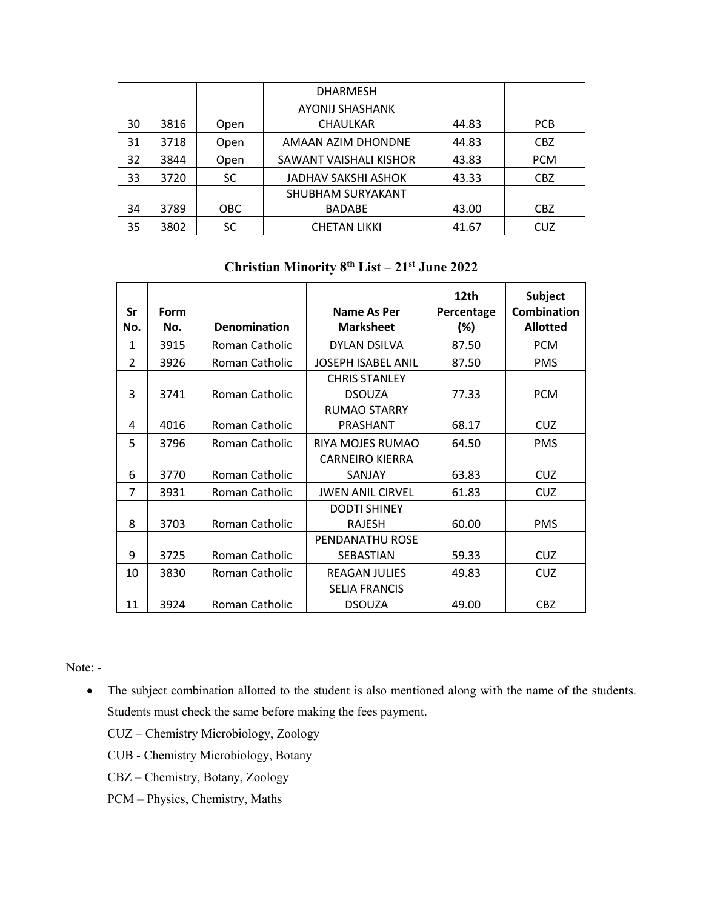|    |      |            | <b>DHARMESH</b>            |       |            |
|----|------|------------|----------------------------|-------|------------|
|    |      |            | <b>AYONIJ SHASHANK</b>     |       |            |
| 30 | 3816 | Open       | <b>CHAULKAR</b>            | 44.83 | PCB        |
| 31 | 3718 | Open       | AMAAN AZIM DHONDNE         | 44.83 | <b>CBZ</b> |
| 32 | 3844 | Open       | SAWANT VAISHALI KISHOR     | 43.83 | <b>PCM</b> |
| 33 | 3720 | <b>SC</b>  | <b>JADHAV SAKSHI ASHOK</b> | 43.33 | <b>CBZ</b> |
|    |      |            | SHUBHAM SURYAKANT          |       |            |
| 34 | 3789 | <b>OBC</b> | <b>BADABE</b>              | 43.00 | <b>CBZ</b> |
| 35 | 3802 | SC         | <b>CHETAN LIKKI</b>        | 41.67 | <b>CUZ</b> |

**Christian Minority 8 th List – 21 st June 2022**

| <b>Sr</b>      | <b>Form</b> |                     | Name As Per                           | 12th<br>Percentage | <b>Subject</b><br><b>Combination</b> |
|----------------|-------------|---------------------|---------------------------------------|--------------------|--------------------------------------|
| No.            | No.         | <b>Denomination</b> | <b>Marksheet</b>                      | (%)                | <b>Allotted</b>                      |
| 1              | 3915        | Roman Catholic      | <b>DYLAN DSILVA</b>                   | 87.50              | <b>PCM</b>                           |
| $\overline{2}$ | 3926        | Roman Catholic      | <b>JOSEPH ISABEL ANIL</b>             | 87.50              | <b>PMS</b>                           |
| 3              | 3741        | Roman Catholic      | <b>CHRIS STANLEY</b><br><b>DSOUZA</b> | 77.33              | <b>PCM</b>                           |
| 4              | 4016        | Roman Catholic      | RUMAO STARRY<br>PRASHANT              | 68.17              | <b>CUZ</b>                           |
| 5              | 3796        | Roman Catholic      | RIYA MOJES RUMAO                      | 64.50              | <b>PMS</b>                           |
| 6              | 3770        | Roman Catholic      | <b>CARNEIRO KIERRA</b><br>SANJAY      | 63.83              | <b>CUZ</b>                           |
| 7              | 3931        | Roman Catholic      | <b>JWEN ANIL CIRVEL</b>               | 61.83              | <b>CUZ</b>                           |
| 8              | 3703        | Roman Catholic      | <b>DODTI SHINEY</b><br><b>RAJESH</b>  | 60.00              | <b>PMS</b>                           |
| 9              | 3725        | Roman Catholic      | PENDANATHU ROSE<br>SEBASTIAN          | 59.33              | <b>CUZ</b>                           |
| 10             | 3830        | Roman Catholic      | <b>REAGAN JULIES</b>                  | 49.83              | <b>CUZ</b>                           |
| 11             | 3924        | Roman Catholic      | <b>SELIA FRANCIS</b><br><b>DSOUZA</b> | 49.00              | CBZ                                  |

Note: -

• The subject combination allotted to the student is also mentioned along with the name of the students. Students must check the same before making the fees payment.

CUZ – Chemistry Microbiology, Zoology

CUB - Chemistry Microbiology, Botany

CBZ – Chemistry, Botany, Zoology

PCM – Physics, Chemistry, Maths